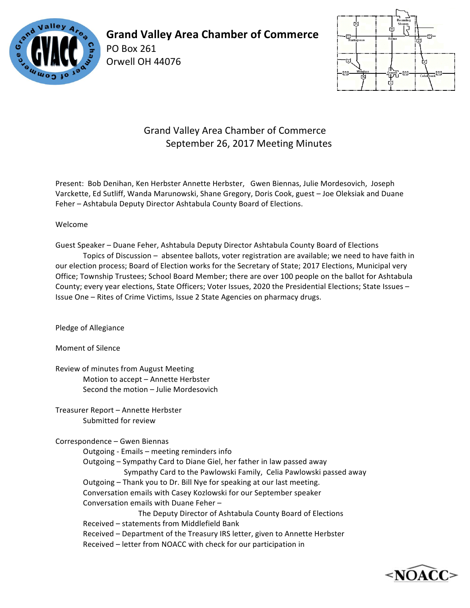

**Grand Valley Area Chamber of Commerce**

PO Box 261 Orwell OH 44076



## Grand Valley Area Chamber of Commerce September 26, 2017 Meeting Minutes

Present: Bob Denihan, Ken Herbster Annette Herbster, Gwen Biennas, Julie Mordesovich, Joseph Varckette, Ed Sutliff, Wanda Marunowski, Shane Gregory, Doris Cook, guest - Joe Oleksiak and Duane Feher – Ashtabula Deputy Director Ashtabula County Board of Elections.

## Welcome

Guest Speaker – Duane Feher, Ashtabula Deputy Director Ashtabula County Board of Elections Topics of Discussion - absentee ballots, voter registration are available; we need to have faith in our election process; Board of Election works for the Secretary of State; 2017 Elections, Municipal very Office; Township Trustees; School Board Member; there are over 100 people on the ballot for Ashtabula County; every year elections, State Officers; Voter Issues, 2020 the Presidential Elections; State Issues -Issue One - Rites of Crime Victims, Issue 2 State Agencies on pharmacy drugs.

Pledge of Allegiance

Moment of Silence

Review of minutes from August Meeting Motion to accept - Annette Herbster Second the motion – Julie Mordesovich

Treasurer Report - Annette Herbster Submitted for review

Correspondence – Gwen Biennas

Outgoing - Emails - meeting reminders info Outgoing - Sympathy Card to Diane Giel, her father in law passed away Sympathy Card to the Pawlowski Family, Celia Pawlowski passed away Outgoing – Thank you to Dr. Bill Nye for speaking at our last meeting. Conversation emails with Casey Kozlowski for our September speaker Conversation emails with Duane Feher -The Deputy Director of Ashtabula County Board of Elections Received - statements from Middlefield Bank Received - Department of the Treasury IRS letter, given to Annette Herbster Received - letter from NOACC with check for our participation in

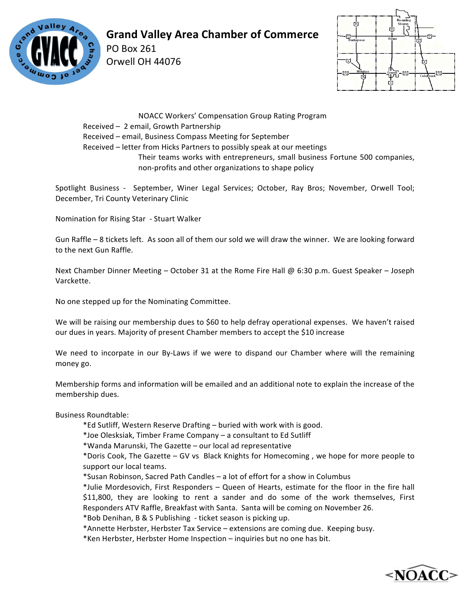

## **Grand Valley Area Chamber of Commerce**

PO Box 261 Orwell OH 44076



NOACC Workers' Compensation Group Rating Program

Received - 2 email, Growth Partnership

Received – email, Business Compass Meeting for September

Received – letter from Hicks Partners to possibly speak at our meetings

Their teams works with entrepreneurs, small business Fortune 500 companies, non-profits and other organizations to shape policy

Spotlight Business - September, Winer Legal Services; October, Ray Bros; November, Orwell Tool; December, Tri County Veterinary Clinic

Nomination for Rising Star - Stuart Walker

Gun Raffle - 8 tickets left. As soon all of them our sold we will draw the winner. We are looking forward to the next Gun Raffle.

Next Chamber Dinner Meeting – October 31 at the Rome Fire Hall @ 6:30 p.m. Guest Speaker – Joseph Varckette.

No one stepped up for the Nominating Committee.

We will be raising our membership dues to \$60 to help defray operational expenses. We haven't raised our dues in years. Majority of present Chamber members to accept the \$10 increase

We need to incorpate in our By-Laws if we were to dispand our Chamber where will the remaining money go.

Membership forms and information will be emailed and an additional note to explain the increase of the membership dues.

Business Roundtable: 

\*Ed Sutliff, Western Reserve Drafting – buried with work with is good.

\*Joe Olesksiak, Timber Frame Company – a consultant to Ed Sutliff

\*Wanda Marunski, The Gazette – our local ad representative

\*Doris Cook, The Gazette - GV vs Black Knights for Homecoming, we hope for more people to support our local teams.

\*Susan Robinson, Sacred Path Candles - a lot of effort for a show in Columbus

\*Julie Mordesovich, First Responders – Queen of Hearts, estimate for the floor in the fire hall \$11,800, they are looking to rent a sander and do some of the work themselves, First Responders ATV Raffle, Breakfast with Santa. Santa will be coming on November 26.

\*Bob Denihan, B & S Publishing - ticket season is picking up.

\*Annette Herbster, Herbster Tax Service - extensions are coming due. Keeping busy.

\*Ken Herbster, Herbster Home Inspection - inquiries but no one has bit.